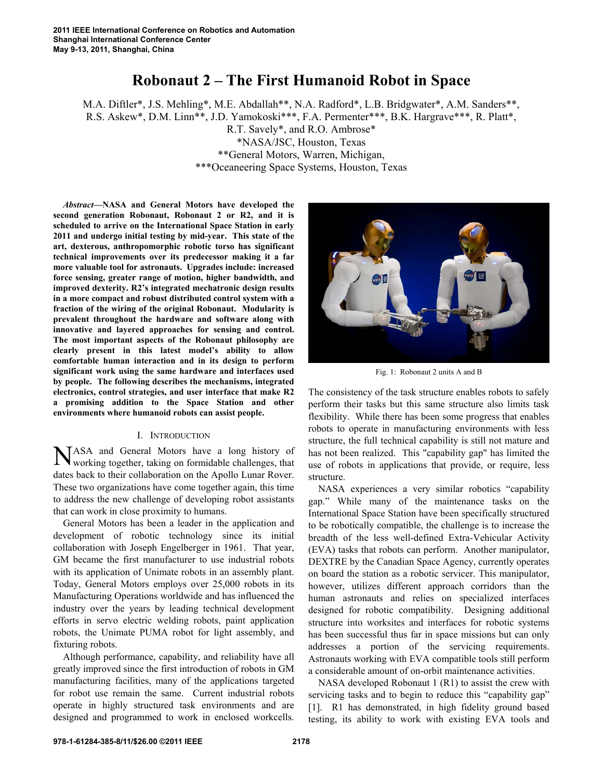# **Robonaut 2 – The First Humanoid Robot in Space**

M.A. Diftler\*, J.S. Mehling\*, M.E. Abdallah\*\*, N.A. Radford\*, L.B. Bridgwater\*, A.M. Sanders\*\*, R.S. Askew\*, D.M. Linn\*\*, J.D. Yamokoski\*\*\*, F.A. Permenter\*\*\*, B.K. Hargrave\*\*\*, R. Platt\*, R.T. Savely\*, and R.O. Ambrose\* \*NASA/JSC, Houston, Texas \*\*General Motors, Warren, Michigan, \*\*\*Oceaneering Space Systems, Houston, Texas

*Abstract***—NASA and General Motors have developed the second generation Robonaut, Robonaut 2 or R2, and it is scheduled to arrive on the International Space Station in early 2011 and undergo initial testing by mid-year. This state of the art, dexterous, anthropomorphic robotic torso has significant technical improvements over its predecessor making it a far more valuable tool for astronauts. Upgrades include: increased force sensing, greater range of motion, higher bandwidth, and improved dexterity. R2's integrated mechatronic design results in a more compact and robust distributed control system with a fraction of the wiring of the original Robonaut. Modularity is prevalent throughout the hardware and software along with innovative and layered approaches for sensing and control. The most important aspects of the Robonaut philosophy are clearly present in this latest model's ability to allow comfortable human interaction and in its design to perform significant work using the same hardware and interfaces used by people. The following describes the mechanisms, integrated electronics, control strategies, and user interface that make R2 a promising addition to the Space Station and other environments where humanoid robots can assist people.** 

#### I. INTRODUCTION

NASA and General Motors have a long history of working together, taking on formidable challenges, that working together, taking on formidable challenges, that dates back to their collaboration on the Apollo Lunar Rover. These two organizations have come together again, this time to address the new challenge of developing robot assistants that can work in close proximity to humans.

General Motors has been a leader in the application and development of robotic technology since its initial collaboration with Joseph Engelberger in 1961. That year, GM became the first manufacturer to use industrial robots with its application of Unimate robots in an assembly plant. Today, General Motors employs over 25,000 robots in its Manufacturing Operations worldwide and has influenced the industry over the years by leading technical development efforts in servo electric welding robots, paint application robots, the Unimate PUMA robot for light assembly, and fixturing robots.

Although performance, capability, and reliability have all greatly improved since the first introduction of robots in GM manufacturing facilities, many of the applications targeted for robot use remain the same. Current industrial robots operate in highly structured task environments and are designed and programmed to work in enclosed workcells.



Fig. 1: Robonaut 2 units A and B

The consistency of the task structure enables robots to safely perform their tasks but this same structure also limits task flexibility. While there has been some progress that enables robots to operate in manufacturing environments with less structure, the full technical capability is still not mature and has not been realized. This "capability gap" has limited the use of robots in applications that provide, or require, less structure.

NASA experiences a very similar robotics "capability gap." While many of the maintenance tasks on the International Space Station have been specifically structured to be robotically compatible, the challenge is to increase the breadth of the less well-defined Extra-Vehicular Activity (EVA) tasks that robots can perform. Another manipulator, DEXTRE by the Canadian Space Agency, currently operates on board the station as a robotic servicer. This manipulator, however, utilizes different approach corridors than the human astronauts and relies on specialized interfaces designed for robotic compatibility. Designing additional structure into worksites and interfaces for robotic systems has been successful thus far in space missions but can only addresses a portion of the servicing requirements. Astronauts working with EVA compatible tools still perform a considerable amount of on-orbit maintenance activities.

NASA developed Robonaut 1 (R1) to assist the crew with servicing tasks and to begin to reduce this "capability gap" [1]. R1 has demonstrated, in high fidelity ground based testing, its ability to work with existing EVA tools and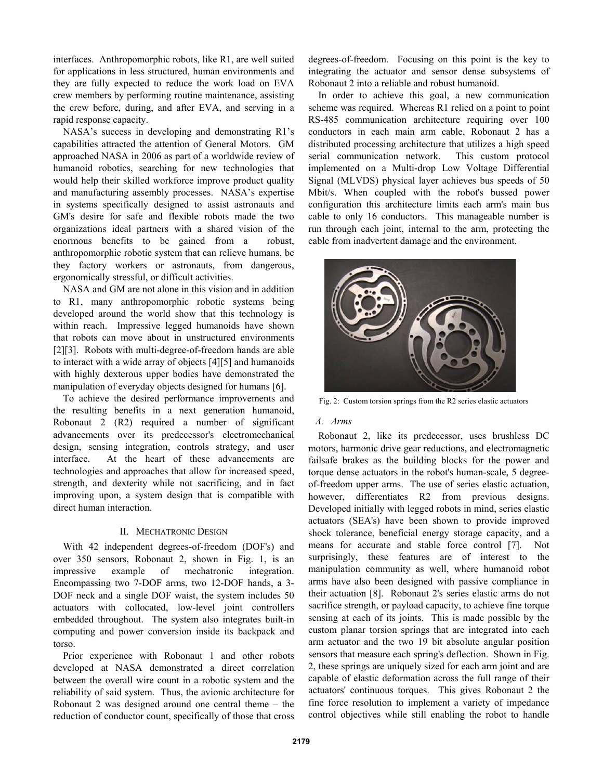interfaces. Anthropomorphic robots, like R1, are well suited for applications in less structured, human environments and they are fully expected to reduce the work load on EVA crew members by performing routine maintenance, assisting the crew before, during, and after EVA, and serving in a rapid response capacity.

NASA's success in developing and demonstrating R1's capabilities attracted the attention of General Motors. GM approached NASA in 2006 as part of a worldwide review of humanoid robotics, searching for new technologies that would help their skilled workforce improve product quality and manufacturing assembly processes. NASA's expertise in systems specifically designed to assist astronauts and GM's desire for safe and flexible robots made the two organizations ideal partners with a shared vision of the enormous benefits to be gained from a robust, anthropomorphic robotic system that can relieve humans, be they factory workers or astronauts, from dangerous, ergonomically stressful, or difficult activities.

NASA and GM are not alone in this vision and in addition to R1, many anthropomorphic robotic systems being developed around the world show that this technology is within reach. Impressive legged humanoids have shown that robots can move about in unstructured environments [2][3]. Robots with multi-degree-of-freedom hands are able to interact with a wide array of objects [4][5] and humanoids with highly dexterous upper bodies have demonstrated the manipulation of everyday objects designed for humans [6].

To achieve the desired performance improvements and the resulting benefits in a next generation humanoid, Robonaut 2 (R2) required a number of significant advancements over its predecessor's electromechanical design, sensing integration, controls strategy, and user interface. At the heart of these advancements are technologies and approaches that allow for increased speed, strength, and dexterity while not sacrificing, and in fact improving upon, a system design that is compatible with direct human interaction.

# II. MECHATRONIC DESIGN

With 42 independent degrees-of-freedom (DOF's) and over 350 sensors, Robonaut 2, shown in Fig. 1, is an impressive example of mechatronic integration. Encompassing two 7-DOF arms, two 12-DOF hands, a 3- DOF neck and a single DOF waist, the system includes 50 actuators with collocated, low-level joint controllers embedded throughout. The system also integrates built-in computing and power conversion inside its backpack and torso.

Prior experience with Robonaut 1 and other robots developed at NASA demonstrated a direct correlation between the overall wire count in a robotic system and the reliability of said system. Thus, the avionic architecture for Robonaut 2 was designed around one central theme – the reduction of conductor count, specifically of those that cross

degrees-of-freedom. Focusing on this point is the key to integrating the actuator and sensor dense subsystems of Robonaut 2 into a reliable and robust humanoid.

In order to achieve this goal, a new communication scheme was required. Whereas R1 relied on a point to point RS-485 communication architecture requiring over 100 conductors in each main arm cable, Robonaut 2 has a distributed processing architecture that utilizes a high speed serial communication network. This custom protocol implemented on a Multi-drop Low Voltage Differential Signal (MLVDS) physical layer achieves bus speeds of 50 Mbit/s. When coupled with the robot's bussed power configuration this architecture limits each arm's main bus cable to only 16 conductors. This manageable number is run through each joint, internal to the arm, protecting the cable from inadvertent damage and the environment.



Fig. 2: Custom torsion springs from the R2 series elastic actuators

# *A. Arms*

Robonaut 2, like its predecessor, uses brushless DC motors, harmonic drive gear reductions, and electromagnetic failsafe brakes as the building blocks for the power and torque dense actuators in the robot's human-scale, 5 degreeof-freedom upper arms. The use of series elastic actuation, however, differentiates R2 from previous designs. Developed initially with legged robots in mind, series elastic actuators (SEA's) have been shown to provide improved shock tolerance, beneficial energy storage capacity, and a means for accurate and stable force control [7]. Not surprisingly, these features are of interest to the manipulation community as well, where humanoid robot arms have also been designed with passive compliance in their actuation [8]. Robonaut 2's series elastic arms do not sacrifice strength, or payload capacity, to achieve fine torque sensing at each of its joints. This is made possible by the custom planar torsion springs that are integrated into each arm actuator and the two 19 bit absolute angular position sensors that measure each spring's deflection. Shown in Fig. 2, these springs are uniquely sized for each arm joint and are capable of elastic deformation across the full range of their actuators' continuous torques. This gives Robonaut 2 the fine force resolution to implement a variety of impedance control objectives while still enabling the robot to handle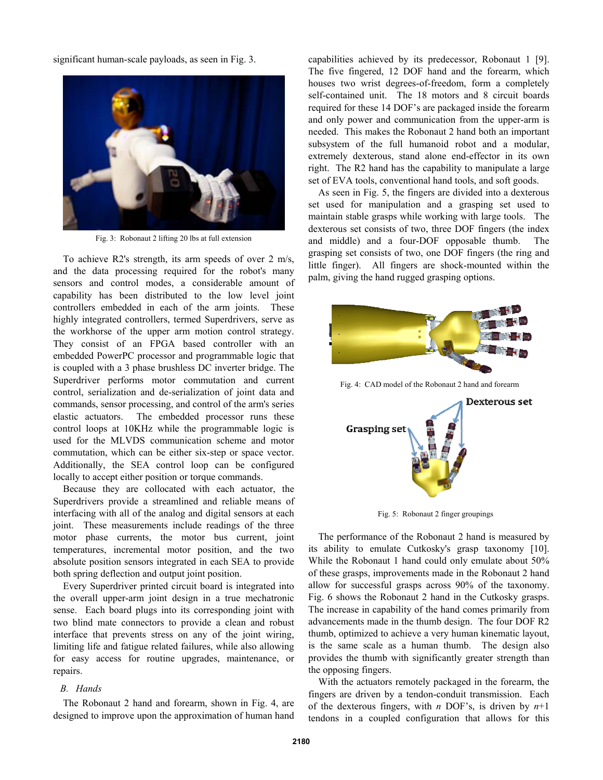significant human-scale payloads, as seen in Fig. 3.



Fig. 3: Robonaut 2 lifting 20 lbs at full extension

To achieve R2's strength, its arm speeds of over 2 m/s, and the data processing required for the robot's many sensors and control modes, a considerable amount of capability has been distributed to the low level joint controllers embedded in each of the arm joints. These highly integrated controllers, termed Superdrivers, serve as the workhorse of the upper arm motion control strategy. They consist of an FPGA based controller with an embedded PowerPC processor and programmable logic that is coupled with a 3 phase brushless DC inverter bridge. The Superdriver performs motor commutation and current control, serialization and de-serialization of joint data and commands, sensor processing, and control of the arm's series elastic actuators. The embedded processor runs these control loops at 10KHz while the programmable logic is used for the MLVDS communication scheme and motor commutation, which can be either six-step or space vector. Additionally, the SEA control loop can be configured locally to accept either position or torque commands.

Because they are collocated with each actuator, the Superdrivers provide a streamlined and reliable means of interfacing with all of the analog and digital sensors at each joint. These measurements include readings of the three motor phase currents, the motor bus current, joint temperatures, incremental motor position, and the two absolute position sensors integrated in each SEA to provide both spring deflection and output joint position.

Every Superdriver printed circuit board is integrated into the overall upper-arm joint design in a true mechatronic sense. Each board plugs into its corresponding joint with two blind mate connectors to provide a clean and robust interface that prevents stress on any of the joint wiring, limiting life and fatigue related failures, while also allowing for easy access for routine upgrades, maintenance, or repairs.

## *B. Hands*

The Robonaut 2 hand and forearm, shown in Fig. 4, are designed to improve upon the approximation of human hand capabilities achieved by its predecessor, Robonaut 1 [9]. The five fingered, 12 DOF hand and the forearm, which houses two wrist degrees-of-freedom, form a completely self-contained unit. The 18 motors and 8 circuit boards required for these 14 DOF's are packaged inside the forearm and only power and communication from the upper-arm is needed. This makes the Robonaut 2 hand both an important subsystem of the full humanoid robot and a modular, extremely dexterous, stand alone end-effector in its own right. The R2 hand has the capability to manipulate a large set of EVA tools, conventional hand tools, and soft goods.

As seen in Fig. 5, the fingers are divided into a dexterous set used for manipulation and a grasping set used to maintain stable grasps while working with large tools. The dexterous set consists of two, three DOF fingers (the index and middle) and a four-DOF opposable thumb. The grasping set consists of two, one DOF fingers (the ring and little finger). All fingers are shock-mounted within the palm, giving the hand rugged grasping options.



Fig. 4: CAD model of the Robonaut 2 hand and forearm



Fig. 5: Robonaut 2 finger groupings

The performance of the Robonaut 2 hand is measured by its ability to emulate Cutkosky's grasp taxonomy [10]. While the Robonaut 1 hand could only emulate about 50% of these grasps, improvements made in the Robonaut 2 hand allow for successful grasps across 90% of the taxonomy. Fig. 6 shows the Robonaut 2 hand in the Cutkosky grasps. The increase in capability of the hand comes primarily from advancements made in the thumb design. The four DOF R2 thumb, optimized to achieve a very human kinematic layout, is the same scale as a human thumb. The design also provides the thumb with significantly greater strength than the opposing fingers.

With the actuators remotely packaged in the forearm, the fingers are driven by a tendon-conduit transmission. Each of the dexterous fingers, with *n* DOF's, is driven by *n*+1 tendons in a coupled configuration that allows for this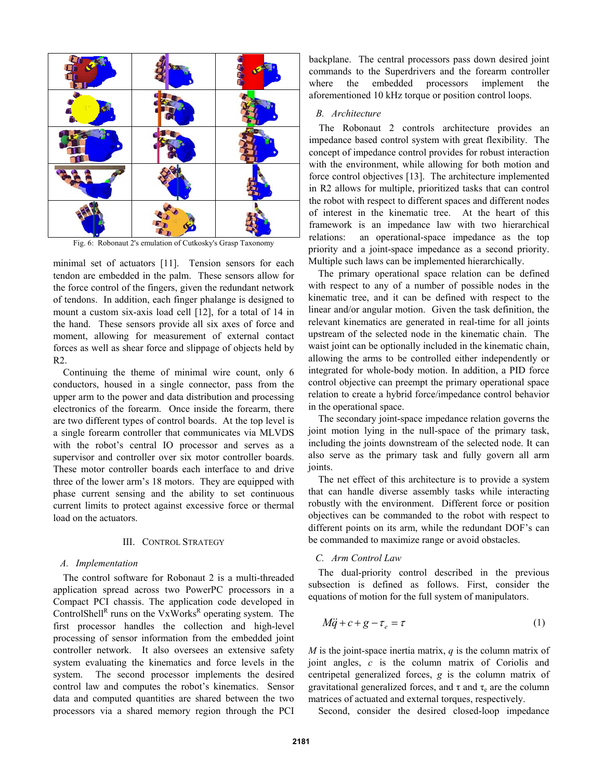

Fig. 6: Robonaut 2's emulation of Cutkosky's Grasp Taxonomy

minimal set of actuators [11]. Tension sensors for each tendon are embedded in the palm. These sensors allow for the force control of the fingers, given the redundant network of tendons. In addition, each finger phalange is designed to mount a custom six-axis load cell [12], for a total of 14 in the hand. These sensors provide all six axes of force and moment, allowing for measurement of external contact forces as well as shear force and slippage of objects held by  $R<sub>2</sub>$ 

Continuing the theme of minimal wire count, only 6 conductors, housed in a single connector, pass from the upper arm to the power and data distribution and processing electronics of the forearm. Once inside the forearm, there are two different types of control boards. At the top level is a single forearm controller that communicates via MLVDS with the robot's central IO processor and serves as a supervisor and controller over six motor controller boards. These motor controller boards each interface to and drive three of the lower arm's 18 motors. They are equipped with phase current sensing and the ability to set continuous current limits to protect against excessive force or thermal load on the actuators.

## III. CONTROL STRATEGY

### *A. Implementation*

The control software for Robonaut 2 is a multi-threaded application spread across two PowerPC processors in a Compact PCI chassis. The application code developed in ControlShell<sup>R</sup> runs on the VxWorks<sup>R</sup> operating system. The first processor handles the collection and high-level processing of sensor information from the embedded joint controller network. It also oversees an extensive safety system evaluating the kinematics and force levels in the system. The second processor implements the desired control law and computes the robot's kinematics. Sensor data and computed quantities are shared between the two processors via a shared memory region through the PCI

backplane. The central processors pass down desired joint commands to the Superdrivers and the forearm controller where the embedded processors implement the aforementioned 10 kHz torque or position control loops.

# *B. Architecture*

The Robonaut 2 controls architecture provides an impedance based control system with great flexibility. The concept of impedance control provides for robust interaction with the environment, while allowing for both motion and force control objectives [13]. The architecture implemented in R2 allows for multiple, prioritized tasks that can control the robot with respect to different spaces and different nodes of interest in the kinematic tree. At the heart of this framework is an impedance law with two hierarchical relations: an operational-space impedance as the top priority and a joint-space impedance as a second priority. Multiple such laws can be implemented hierarchically.

The primary operational space relation can be defined with respect to any of a number of possible nodes in the kinematic tree, and it can be defined with respect to the linear and/or angular motion. Given the task definition, the relevant kinematics are generated in real-time for all joints upstream of the selected node in the kinematic chain. The waist joint can be optionally included in the kinematic chain, allowing the arms to be controlled either independently or integrated for whole-body motion. In addition, a PID force control objective can preempt the primary operational space relation to create a hybrid force/impedance control behavior in the operational space.

The secondary joint-space impedance relation governs the joint motion lying in the null-space of the primary task, including the joints downstream of the selected node. It can also serve as the primary task and fully govern all arm joints.

The net effect of this architecture is to provide a system that can handle diverse assembly tasks while interacting robustly with the environment. Different force or position objectives can be commanded to the robot with respect to different points on its arm, while the redundant DOF's can be commanded to maximize range or avoid obstacles.

## *C. Arm Control Law*

The dual-priority control described in the previous subsection is defined as follows. First, consider the equations of motion for the full system of manipulators.

$$
M\ddot{q} + c + g - \tau_e = \tau \tag{1}
$$

*M* is the joint-space inertia matrix, *q* is the column matrix of joint angles, *c* is the column matrix of Coriolis and centripetal generalized forces, *g* is the column matrix of gravitational generalized forces, and  $\tau$  and  $\tau_e$  are the column matrices of actuated and external torques, respectively.

Second, consider the desired closed-loop impedance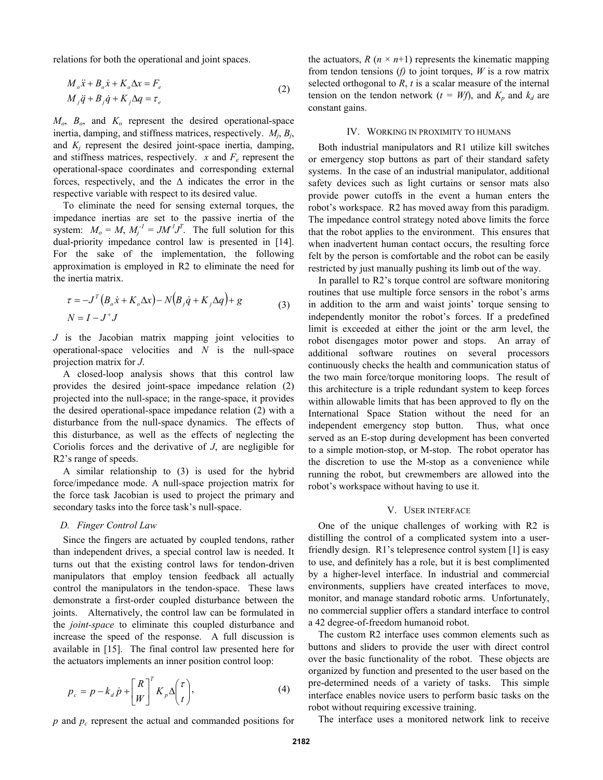relations for both the operational and joint spaces.

$$
M_o \ddot{x} + B_o \dot{x} + K_o \Delta x = F_e
$$
  
\n
$$
M_j \ddot{q} + B_j \dot{q} + K_j \Delta q = \tau_e
$$
\n(2)

 $M<sub>o</sub>$ ,  $B<sub>o</sub>$ , and  $K<sub>o</sub>$  represent the desired operational-space inertia, damping, and stiffness matrices, respectively. *Mj*, *Bj*, and *Kj* represent the desired joint-space inertia, damping, and stiffness matrices, respectively. *x* and  $F_e$  represent the operational-space coordinates and corresponding external forces, respectively, and the  $\Delta$  indicates the error in the respective variable with respect to its desired value.

To eliminate the need for sensing external torques, the impedance inertias are set to the passive inertia of the system:  $M_o = M$ ,  $M_j^{-1} = J M^T J^T$ . The full solution for this dual-priority impedance control law is presented in [14]. For the sake of the implementation, the following approximation is employed in R2 to eliminate the need for the inertia matrix.

$$
\tau = -J^T (B_o \dot{x} + K_o \Delta x) - N (B_j \dot{q} + K_j \Delta q) + g
$$
  
\n
$$
N = I - J^+ J
$$
\n(3)

*J* is the Jacobian matrix mapping joint velocities to operational-space velocities and *N* is the null-space projection matrix for *J*.

 A closed-loop analysis shows that this control law provides the desired joint-space impedance relation (2) projected into the null-space; in the range-space, it provides the desired operational-space impedance relation (2) with a disturbance from the null-space dynamics. The effects of this disturbance, as well as the effects of neglecting the Coriolis forces and the derivative of *J*, are negligible for R2's range of speeds.

A similar relationship to (3) is used for the hybrid force/impedance mode. A null-space projection matrix for the force task Jacobian is used to project the primary and secondary tasks into the force task's null-space.

# *D. Finger Control Law*

Since the fingers are actuated by coupled tendons, rather than independent drives, a special control law is needed. It turns out that the existing control laws for tendon-driven manipulators that employ tension feedback all actually control the manipulators in the tendon-space. These laws demonstrate a first-order coupled disturbance between the joints. Alternatively, the control law can be formulated in the *joint-space* to eliminate this coupled disturbance and increase the speed of the response. A full discussion is available in [15]. The final control law presented here for the actuators implements an inner position control loop:

$$
p_c = p - k_d \dot{p} + \left[\frac{R}{W}\right]^T K_p \Delta \left(\frac{\tau}{t}\right),\tag{4}
$$

 $p$  and  $p_c$  represent the actual and commanded positions for

the actuators,  $R(n \times n+1)$  represents the kinematic mapping from tendon tensions (*f)* to joint torques, *W* is a row matrix selected orthogonal to  $R$ ,  $t$  is a scalar measure of the internal tension on the tendon network  $(t = Wf)$ , and  $K_p$  and  $k_d$  are constant gains.

#### IV. WORKING IN PROXIMITY TO HUMANS

Both industrial manipulators and R1 utilize kill switches or emergency stop buttons as part of their standard safety systems. In the case of an industrial manipulator, additional safety devices such as light curtains or sensor mats also provide power cutoffs in the event a human enters the robot's workspace. R2 has moved away from this paradigm. The impedance control strategy noted above limits the force that the robot applies to the environment. This ensures that when inadvertent human contact occurs, the resulting force felt by the person is comfortable and the robot can be easily restricted by just manually pushing its limb out of the way.

In parallel to R2's torque control are software monitoring routines that use multiple force sensors in the robot's arms in addition to the arm and waist joints' torque sensing to independently monitor the robot's forces. If a predefined limit is exceeded at either the joint or the arm level, the robot disengages motor power and stops. An array of additional software routines on several processors continuously checks the health and communication status of the two main force/torque monitoring loops. The result of this architecture is a triple redundant system to keep forces within allowable limits that has been approved to fly on the International Space Station without the need for an independent emergency stop button. Thus, what once served as an E-stop during development has been converted to a simple motion-stop, or M-stop. The robot operator has the discretion to use the M-stop as a convenience while running the robot, but crewmembers are allowed into the robot's workspace without having to use it.

# V. USER INTERFACE

One of the unique challenges of working with R2 is distilling the control of a complicated system into a userfriendly design. R1's telepresence control system [1] is easy to use, and definitely has a role, but it is best complimented by a higher-level interface. In industrial and commercial environments, suppliers have created interfaces to move, monitor, and manage standard robotic arms. Unfortunately, no commercial supplier offers a standard interface to control a 42 degree-of-freedom humanoid robot.

The custom R2 interface uses common elements such as buttons and sliders to provide the user with direct control over the basic functionality of the robot. These objects are organized by function and presented to the user based on the pre-determined needs of a variety of tasks. This simple interface enables novice users to perform basic tasks on the robot without requiring excessive training.

The interface uses a monitored network link to receive